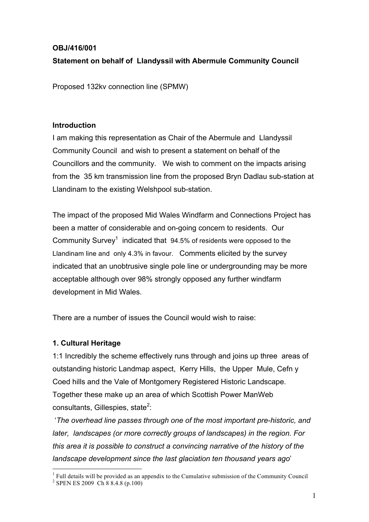# **OBJ/416/001**

# **Statement on behalf of Llandyssil with Abermule Community Council**

Proposed 132kv connection line (SPMW)

#### **Introduction**

I am making this representation as Chair of the Abermule and Llandyssil Community Council and wish to present a statement on behalf of the Councillors and the community. We wish to comment on the impacts arising from the 35 km transmission line from the proposed Bryn Dadlau sub-station at Llandinam to the existing Welshpool sub-station.

The impact of the proposed Mid Wales Windfarm and Connections Project has been a matter of considerable and on-going concern to residents. Our Community Survey<sup>1</sup> indicated that  $94.5\%$  of residents were opposed to the Llandinam line and only 4.3% in favour. Comments elicited by the survey indicated that an unobtrusive single pole line or undergrounding may be more acceptable although over 98% strongly opposed any further windfarm development in Mid Wales.

There are a number of issues the Council would wish to raise:

### **1. Cultural Heritage**

1:1 Incredibly the scheme effectively runs through and joins up three areas of outstanding historic Landmap aspect, Kerry Hills, the Upper Mule, Cefn y Coed hills and the Vale of Montgomery Registered Historic Landscape. Together these make up an area of which Scottish Power ManWeb consultants, Gillespies, state $2$ :

'*The overhead line passes through one of the most important pre-historic, and later, landscapes (or more correctly groups of landscapes) in the region. For this area it is possible to construct a convincing narrative of the history of the landscape development since the last glaciation ten thousand years ago*'

 $1$  Full details will be provided as an appendix to the Cumulative submission of the Community Council <sup>2</sup> SPEN ES 2009 Ch 8 8.4.8 (p.100)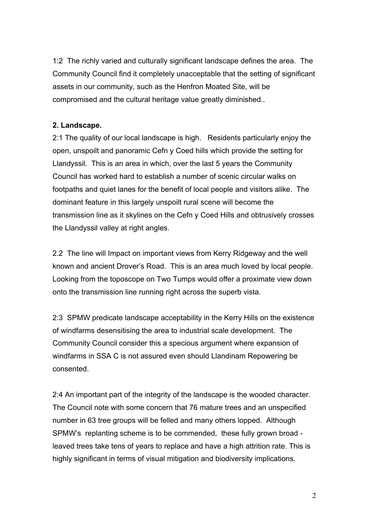1:2 The richly varied and culturally significant landscape defines the area. The Community Council find it completely unacceptable that the setting of significant assets in our community, such as the Henfron Moated Site, will be compromised and the cultural heritage value greatly diminished..

### **2. Landscape.**

2:1 The quality of our local landscape is high. Residents particularly enjoy the open, unspoilt and panoramic Cefn y Coed hills which provide the setting for Llandyssil. This is an area in which, over the last 5 years the Community Council has worked hard to establish a number of scenic circular walks on footpaths and quiet lanes for the benefit of local people and visitors alike. The dominant feature in this largely unspoilt rural scene will become the transmission line as it skylines on the Cefn y Coed Hills and obtrusively crosses the Llandyssil valley at right angles.

2.2 The line will Impact on important views from Kerry Ridgeway and the well known and ancient Drover's Road. This is an area much loved by local people. Looking from the toposcope on Two Tumps would offer a proximate view down onto the transmission line running right across the superb vista.

2:3 SPMW predicate landscape acceptability in the Kerry Hills on the existence of windfarms desensitising the area to industrial scale development. The Community Council consider this a specious argument where expansion of windfarms in SSA C is not assured even should Llandinam Repowering be consented.

2:4 An important part of the integrity of the landscape is the wooded character. The Council note with some concern that 76 mature trees and an unspecified number in 63 tree groups will be felled and many others lopped. Although SPMW's replanting scheme is to be commended, these fully grown broad leaved trees take tens of years to replace and have a high attrition rate. This is highly significant in terms of visual mitigation and biodiversity implications.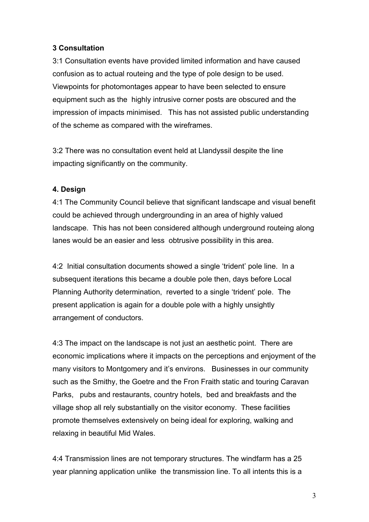## **3 Consultation**

3:1 Consultation events have provided limited information and have caused confusion as to actual routeing and the type of pole design to be used. Viewpoints for photomontages appear to have been selected to ensure equipment such as the highly intrusive corner posts are obscured and the impression of impacts minimised. This has not assisted public understanding of the scheme as compared with the wireframes.

3:2 There was no consultation event held at Llandyssil despite the line impacting significantly on the community.

### **4. Design**

4:1 The Community Council believe that significant landscape and visual benefit could be achieved through undergrounding in an area of highly valued landscape. This has not been considered although underground routeing along lanes would be an easier and less obtrusive possibility in this area.

4:2 Initial consultation documents showed a single 'trident' pole line. In a subsequent iterations this became a double pole then, days before Local Planning Authority determination, reverted to a single 'trident' pole. The present application is again for a double pole with a highly unsightly arrangement of conductors.

4:3 The impact on the landscape is not just an aesthetic point. There are economic implications where it impacts on the perceptions and enjoyment of the many visitors to Montgomery and it's environs. Businesses in our community such as the Smithy, the Goetre and the Fron Fraith static and touring Caravan Parks, pubs and restaurants, country hotels, bed and breakfasts and the village shop all rely substantially on the visitor economy. These facilities promote themselves extensively on being ideal for exploring, walking and relaxing in beautiful Mid Wales.

4:4 Transmission lines are not temporary structures. The windfarm has a 25 year planning application unlike the transmission line. To all intents this is a